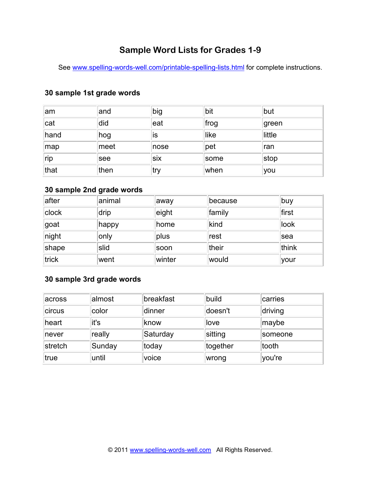# **Sample Word Lists for Grades 1-9**

See www.spelling-words-well.com/printable-spelling-lists.html for complete instructions.

#### **30 sample 1st grade words**

| ∣am  | and   | big  | bit  | but    |
|------|-------|------|------|--------|
| cat  | did   | leat | frog | green  |
| hand | hog   | İS   | like | little |
| map  | ∣meet | nose | pet  | Iran   |
| rip  | see   | six  | some | stop   |
| that | then  | try  | when | you    |

#### **30 sample 2nd grade words**

| after | animal | away   | because | buy    |
|-------|--------|--------|---------|--------|
| clock | drip   | eight  | family  | ∣first |
| ∣goat | happy  | home   | kind    | look   |
| night | only   | plus   | rest    | sea    |
| shape | slid   | soon   | their   | think  |
| trick | went   | winter | would   | your   |

### **30 sample 3rd grade words**

| across  | almost | breakfast | build    | carries |
|---------|--------|-----------|----------|---------|
| circus  | color  | dinner    | doesn't  | driving |
| heart   | it's   | ∣know     | love     | maybe   |
| never   | really | Saturday  | sitting  | someone |
| stretch | Sunday | today     | together | tooth   |
| true    | until  | voice     | wrong    | you're  |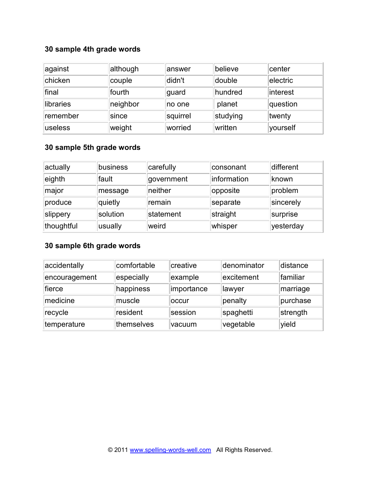## **30 sample 4th grade words**

| against   | although | answer   | believe  | center   |
|-----------|----------|----------|----------|----------|
| chicken   | couple   | didn't   | double   | electric |
| final     | fourth   | guard    | hundred  | interest |
| libraries | neighbor | no one   | planet   | question |
| remember  | since    | squirrel | studying | twenty   |
| luseless  | weight   | worried  | written  | yourself |

### **30 sample 5th grade words**

| actually   | business | carefully  | consonant   | different |
|------------|----------|------------|-------------|-----------|
| eighth     | fault    | government | information | known     |
| major      | message  | neither    | opposite    | problem   |
| produce    | quietly  | remain     | separate    | sincerely |
| slippery   | solution | statement  | straight    | surprise  |
| thoughtful | usually  | weird      | whisper     | yesterday |

## **30 sample 6th grade words**

| accidentally  | comfortable | creative   | denominator | distance |
|---------------|-------------|------------|-------------|----------|
| encouragement | especially  | example    | excitement  | familiar |
| fierce        | happiness   | importance | lawyer      | marriage |
| medicine      | muscle      | loccur     | penalty     | purchase |
| recycle       | resident    | session    | spaghetti   | strength |
| temperature   | themselves  | vacuum     | vegetable   | yield    |